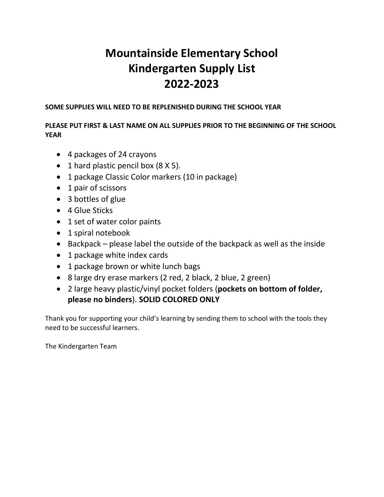# **Mountainside Elementary School Kindergarten Supply List 2022-2023**

#### **SOME SUPPLIES WILL NEED TO BE REPLENISHED DURING THE SCHOOL YEAR**

#### **PLEASE PUT FIRST & LAST NAME ON ALL SUPPLIES PRIOR TO THE BEGINNING OF THE SCHOOL YEAR**

- 4 packages of 24 crayons
- 1 hard plastic pencil box (8 X 5).
- 1 package Classic Color markers (10 in package)
- 1 pair of scissors
- 3 bottles of glue
- 4 Glue Sticks
- 1 set of water color paints
- 1 spiral notebook
- Backpack please label the outside of the backpack as well as the inside
- 1 package white index cards
- 1 package brown or white lunch bags
- 8 large dry erase markers (2 red, 2 black, 2 blue, 2 green)
- 2 large heavy plastic/vinyl pocket folders (**pockets on bottom of folder, please no binders**). **SOLID COLORED ONLY**

Thank you for supporting your child's learning by sending them to school with the tools they need to be successful learners.

The Kindergarten Team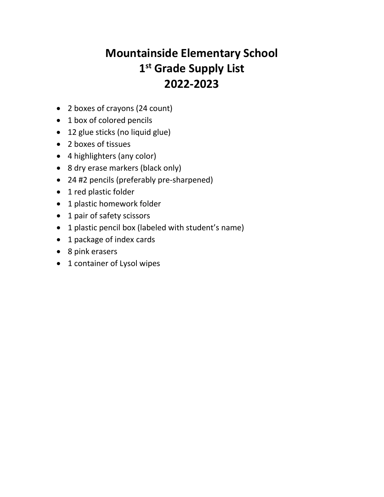# **Mountainside Elementary School 1st Grade Supply List 2022-2023**

- 2 boxes of crayons (24 count)
- 1 box of colored pencils
- 12 glue sticks (no liquid glue)
- 2 boxes of tissues
- 4 highlighters (any color)
- 8 dry erase markers (black only)
- 24 #2 pencils (preferably pre-sharpened)
- 1 red plastic folder
- 1 plastic homework folder
- 1 pair of safety scissors
- 1 plastic pencil box (labeled with student's name)
- 1 package of index cards
- 8 pink erasers
- 1 container of Lysol wipes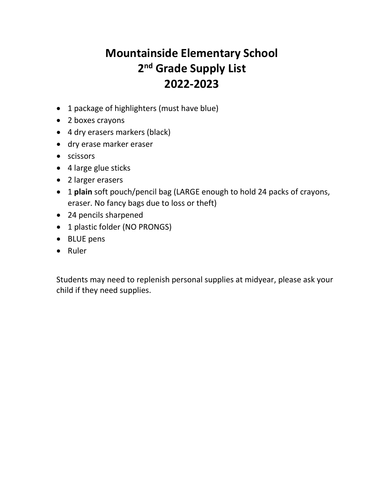# **Mountainside Elementary School 2nd Grade Supply List 2022-2023**

- 1 package of highlighters (must have blue)
- 2 boxes crayons
- 4 dry erasers markers (black)
- dry erase marker eraser
- scissors
- 4 large glue sticks
- 2 larger erasers
- 1 **plain** soft pouch/pencil bag (LARGE enough to hold 24 packs of crayons, eraser. No fancy bags due to loss or theft)
- 24 pencils sharpened
- 1 plastic folder (NO PRONGS)
- BLUE pens
- Ruler

Students may need to replenish personal supplies at midyear, please ask your child if they need supplies.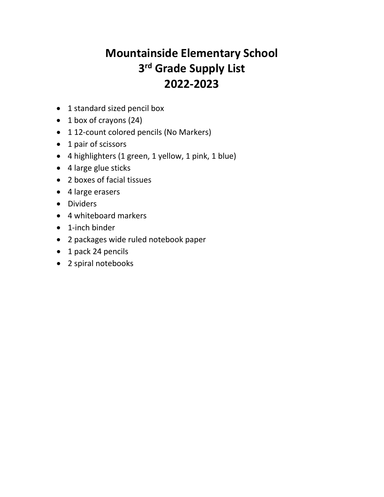# **Mountainside Elementary School 3rd Grade Supply List 2022-2023**

- 1 standard sized pencil box
- 1 box of crayons (24)
- 112-count colored pencils (No Markers)
- 1 pair of scissors
- 4 highlighters (1 green, 1 yellow, 1 pink, 1 blue)
- 4 large glue sticks
- 2 boxes of facial tissues
- 4 large erasers
- Dividers
- 4 whiteboard markers
- 1-inch binder
- 2 packages wide ruled notebook paper
- 1 pack 24 pencils
- 2 spiral notebooks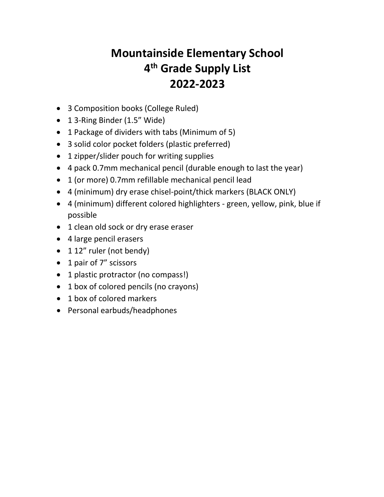# **Mountainside Elementary School 4th Grade Supply List 2022-2023**

- 3 Composition books (College Ruled)
- 1 3-Ring Binder (1.5" Wide)
- 1 Package of dividers with tabs (Minimum of 5)
- 3 solid color pocket folders (plastic preferred)
- 1 zipper/slider pouch for writing supplies
- 4 pack 0.7mm mechanical pencil (durable enough to last the year)
- 1 (or more) 0.7mm refillable mechanical pencil lead
- 4 (minimum) dry erase chisel-point/thick markers (BLACK ONLY)
- 4 (minimum) different colored highlighters green, yellow, pink, blue if possible
- 1 clean old sock or dry erase eraser
- 4 large pencil erasers
- 1 12" ruler (not bendy)
- 1 pair of 7" scissors
- 1 plastic protractor (no compass!)
- 1 box of colored pencils (no crayons)
- 1 box of colored markers
- Personal earbuds/headphones